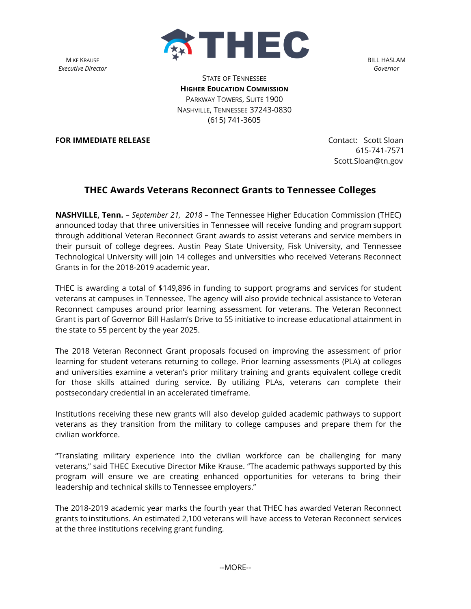

**MIKE KRAUSE** *Executive Director* BILL HASLAM *Governor*

STATE OF TENNESSEE **HIGHER EDUCATION COMMISSION** PARKWAY TOWERS, SUITE 1900 NASHVILLE, TENNESSEE 37243-0830 (615) 741-3605

**FOR IMMEDIATE RELEASE CONTACT SCOTT CONTACT: SCOTT SCOTT SCOTT SCOTT SCOTT SCOTT SCOTT SCOTT SCOTT SCOTT SCOTT SCOTT SCOTT SCOTT SCOTT SCOTT SCOTT SCOTT SCOTT SCOTT SCOTT SCOTT SCOTT SCOTT SCOTT SCOTT SCOTT SCOTT SCOTT** 

 615-741-7571 Scott.Sloan@tn.gov

## **THEC Awards Veterans Reconnect Grants to Tennessee Colleges**

**NASHVILLE, Tenn.** – *September 21, 2018* – The Tennessee Higher Education Commission (THEC) announced today that three universities in Tennessee will receive funding and program support through additional Veteran Reconnect Grant awards to assist veterans and service members in their pursuit of college degrees. Austin Peay State University, Fisk University, and Tennessee Technological University will join 14 colleges and universities who received Veterans Reconnect Grants in for the 2018-2019 academic year.

THEC is awarding a total of \$149,896 in funding to support programs and services for student veterans at campuses in Tennessee. The agency will also provide technical assistance to Veteran Reconnect campuses around prior learning assessment for veterans. The Veteran Reconnect Grant is part of Governor Bill Haslam's Drive to 55 initiative to increase educational attainment in the state to 55 percent by the year 2025.

The 2018 Veteran Reconnect Grant proposals focused on improving the assessment of prior learning for student veterans returning to college. Prior learning assessments (PLA) at colleges and universities examine a veteran's prior military training and grants equivalent college credit for those skills attained during service. By utilizing PLAs, veterans can complete their postsecondary credential in an accelerated timeframe.

Institutions receiving these new grants will also develop guided academic pathways to support veterans as they transition from the military to college campuses and prepare them for the civilian workforce.

"Translating military experience into the civilian workforce can be challenging for many veterans," said THEC Executive Director Mike Krause. "The academic pathways supported by this program will ensure we are creating enhanced opportunities for veterans to bring their leadership and technical skills to Tennessee employers."

The 2018-2019 academic year marks the fourth year that THEC has awarded Veteran Reconnect grants toinstitutions. An estimated 2,100 veterans will have access to Veteran Reconnect services at the three institutions receiving grant funding.